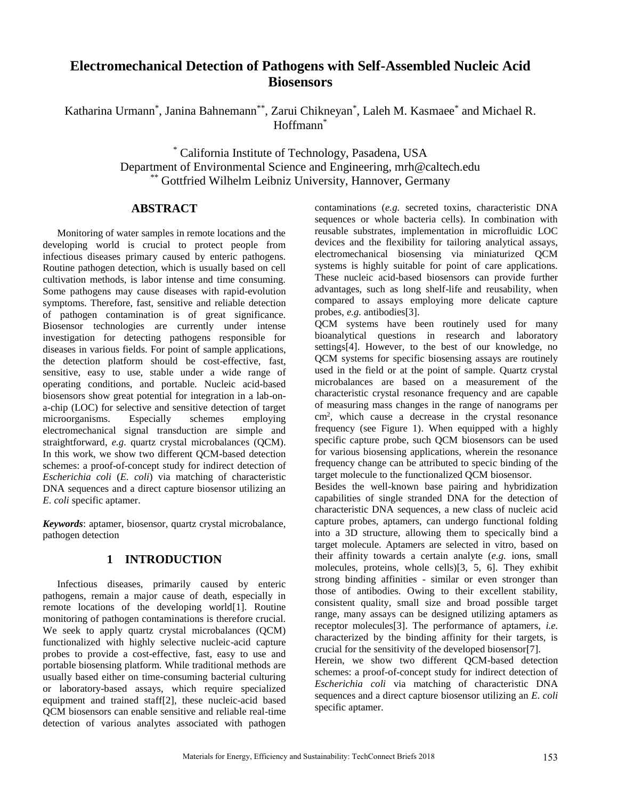# **Electromechanical Detection of Pathogens with Self-Assembled Nucleic Acid Biosensors**

Katharina Urmann<sup>\*</sup>, Janina Bahnemann<sup>\*\*</sup>, Zarui Chikneyan<sup>\*</sup>, Laleh M. Kasmaee<sup>\*</sup> and Michael R. Hoffmann\*

> \* California Institute of Technology, Pasadena, USA Department of Environmental Science and Engineering, mrh@caltech.edu \*\* Gottfried Wilhelm Leibniz University, Hannover, Germany

## **ABSTRACT**

Monitoring of water samples in remote locations and the developing world is crucial to protect people from infectious diseases primary caused by enteric pathogens. Routine pathogen detection, which is usually based on cell cultivation methods, is labor intense and time consuming. Some pathogens may cause diseases with rapid-evolution symptoms. Therefore, fast, sensitive and reliable detection of pathogen contamination is of great significance. Biosensor technologies are currently under intense investigation for detecting pathogens responsible for diseases in various fields. For point of sample applications, the detection platform should be cost-effective, fast, sensitive, easy to use, stable under a wide range of operating conditions, and portable. Nucleic acid-based biosensors show great potential for integration in a lab-ona-chip (LOC) for selective and sensitive detection of target microorganisms. Especially schemes employing electromechanical signal transduction are simple and straightforward, *e.g.* quartz crystal microbalances (OCM). In this work, we show two different QCM-based detection schemes: a proof-of-concept study for indirect detection of *Escherichia coli* (*E. coli*) via matching of characteristic DNA sequences and a direct capture biosensor utilizing an *E. coli* specific aptamer.

*Keywords*: aptamer, biosensor, quartz crystal microbalance, pathogen detection

## **1 INTRODUCTION**

Infectious diseases, primarily caused by enteric pathogens, remain a major cause of death, especially in remote locations of the developing world[1]. Routine monitoring of pathogen contaminations is therefore crucial. We seek to apply quartz crystal microbalances (QCM) functionalized with highly selective nucleic-acid capture probes to provide a cost-effective, fast, easy to use and portable biosensing platform. While traditional methods are usually based either on time-consuming bacterial culturing or laboratory-based assays, which require specialized equipment and trained staff[2], these nucleic-acid based QCM biosensors can enable sensitive and reliable real-time detection of various analytes associated with pathogen contaminations (*e.g.* secreted toxins, characteristic DNA sequences or whole bacteria cells). In combination with reusable substrates, implementation in microfluidic LOC devices and the flexibility for tailoring analytical assays, electromechanical biosensing via miniaturized QCM systems is highly suitable for point of care applications. These nucleic acid-based biosensors can provide further advantages, such as long shelf-life and reusability, when compared to assays employing more delicate capture probes, *e.g.* antibodies[3].

QCM systems have been routinely used for many bioanalytical questions in research and laboratory settings[4]. However, to the best of our knowledge, no QCM systems for specific biosensing assays are routinely used in the field or at the point of sample. Quartz crystal microbalances are based on a measurement of the characteristic crystal resonance frequency and are capable of measuring mass changes in the range of nanograms per cm<sup>2</sup> , which cause a decrease in the crystal resonance frequency (see Figure 1). When equipped with a highly specific capture probe, such QCM biosensors can be used for various biosensing applications, wherein the resonance frequency change can be attributed to specic binding of the target molecule to the functionalized QCM biosensor.

Besides the well-known base pairing and hybridization capabilities of single stranded DNA for the detection of characteristic DNA sequences, a new class of nucleic acid capture probes, aptamers, can undergo functional folding into a 3D structure, allowing them to specically bind a target molecule. Aptamers are selected in vitro, based on their affinity towards a certain analyte (*e.g.* ions, small molecules, proteins, whole cells)[3, 5, 6]. They exhibit strong binding affinities - similar or even stronger than those of antibodies. Owing to their excellent stability, consistent quality, small size and broad possible target range, many assays can be designed utilizing aptamers as receptor molecules[3]. The performance of aptamers, *i.e.* characterized by the binding affinity for their targets, is crucial for the sensitivity of the developed biosensor[7].

Herein, we show two different QCM-based detection schemes: a proof-of-concept study for indirect detection of *Escherichia coli* via matching of characteristic DNA sequences and a direct capture biosensor utilizing an *E. coli* specific aptamer.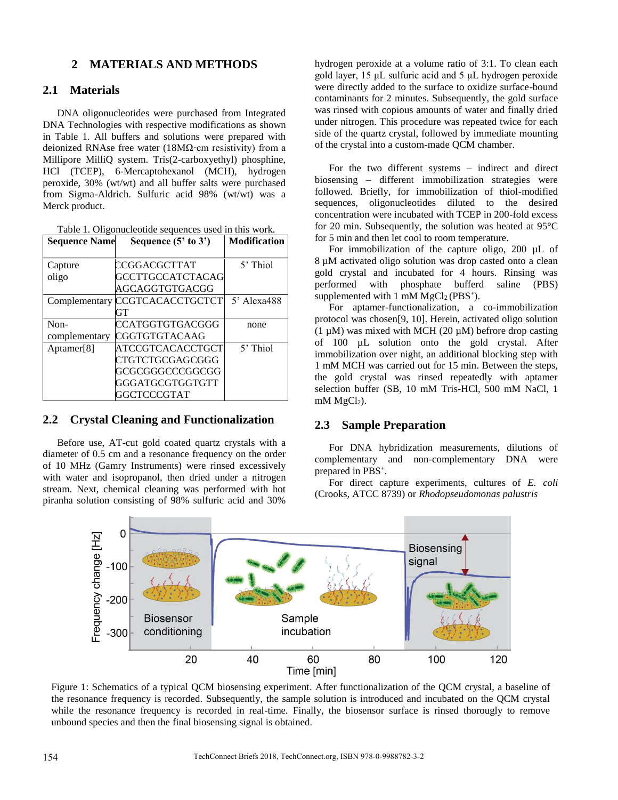## **2 MATERIALS AND METHODS**

#### **2.1 Materials**

DNA oligonucleotides were purchased from Integrated DNA Technologies with respective modifications as shown in Table 1. All buffers and solutions were prepared with deionized RNAse free water (18M $\Omega$ ·cm resistivity) from a Millipore MilliQ system. Tris(2-carboxyethyl) phosphine, HCl (TCEP), 6-Mercaptohexanol (MCH), hydrogen peroxide, 30% (wt/wt) and all buffer salts were purchased from Sigma-Aldrich. Sulfuric acid 98% (wt/wt) was a Merck product.

| Table 1. Oligonucleotide sequences used in this work. |
|-------------------------------------------------------|
|-------------------------------------------------------|

| <b>Sequence Name</b>  | Sequence $(5'$ to $3')$                                                                  | <b>Modification</b> |
|-----------------------|------------------------------------------------------------------------------------------|---------------------|
| Capture<br>oligo      | CCGGACGCTTAT<br>GCCTTGCCATCTACAG<br>AGCAGGTGTGACGG                                       | $5'$ Thiol          |
| Complementary         | CCGTCACACCTGCTCT<br>GT                                                                   | $5'$ Alexa488       |
| Non-<br>complementary | CCATGGTGTGACGGG<br>CGGTGTGTACAAG                                                         | none                |
| Aptamer[8]            | ATCCGTCACACCTGCT<br>CTGTCTGCGAGCGGG<br>GCGCGGGCCCGGCGG<br>GGGATGCGTGGTGTT<br>GGCTCCCGTAT | $5'$ Thiol          |

## **2.2 Crystal Cleaning and Functionalization**

Before use, AT-cut gold coated quartz crystals with a diameter of 0.5 cm and a resonance frequency on the order of 10 MHz (Gamry Instruments) were rinsed excessively with water and isopropanol, then dried under a nitrogen stream. Next, chemical cleaning was performed with hot piranha solution consisting of 98% sulfuric acid and 30%

hydrogen peroxide at a volume ratio of 3:1. To clean each gold layer, 15 μL sulfuric acid and 5 μL hydrogen peroxide were directly added to the surface to oxidize surface-bound contaminants for 2 minutes. Subsequently, the gold surface was rinsed with copious amounts of water and finally dried under nitrogen. This procedure was repeated twice for each side of the quartz crystal, followed by immediate mounting of the crystal into a custom-made QCM chamber.

For the two different systems – indirect and direct biosensing – different immobilization strategies were followed. Briefly, for immobilization of thiol-modified sequences, oligonucleotides diluted to the desired concentration were incubated with TCEP in 200-fold excess for 20 min. Subsequently, the solution was heated at 95°C for 5 min and then let cool to room temperature.

For immobilization of the capture oligo, 200 µL of 8 µM activated oligo solution was drop casted onto a clean gold crystal and incubated for 4 hours. Rinsing was performed with phosphate bufferd saline (PBS) supplemented with  $1 \text{ mM } MgCl_2 (PBS<sup>+</sup>).$ 

For aptamer-functionalization, a co-immobilization protocol was chosen[9, 10]. Herein, activated oligo solution  $(1 \mu M)$  was mixed with MCH  $(20 \mu M)$  befrore drop casting of 100 µL solution onto the gold crystal. After immobilization over night, an additional blocking step with 1 mM MCH was carried out for 15 min. Between the steps, the gold crystal was rinsed repeatedly with aptamer selection buffer (SB, 10 mM Tris-HCl, 500 mM NaCl, 1 mM  $MgCl<sub>2</sub>$ ).

#### **2.3 Sample Preparation**

For DNA hybridization measurements, dilutions of complementary and non-complementary DNA were prepared in PBS<sup>+</sup>.

For direct capture experiments, cultures of *E. coli* (Crooks, ATCC 8739) or *Rhodopseudomonas palustris*



Figure 1: Schematics of a typical QCM biosensing experiment. After functionalization of the QCM crystal, a baseline of the resonance frequency is recorded. Subsequently, the sample solution is introduced and incubated on the QCM crystal while the resonance frequency is recorded in real-time. Finally, the biosensor surface is rinsed thorougly to remove unbound species and then the final biosensing signal is obtained.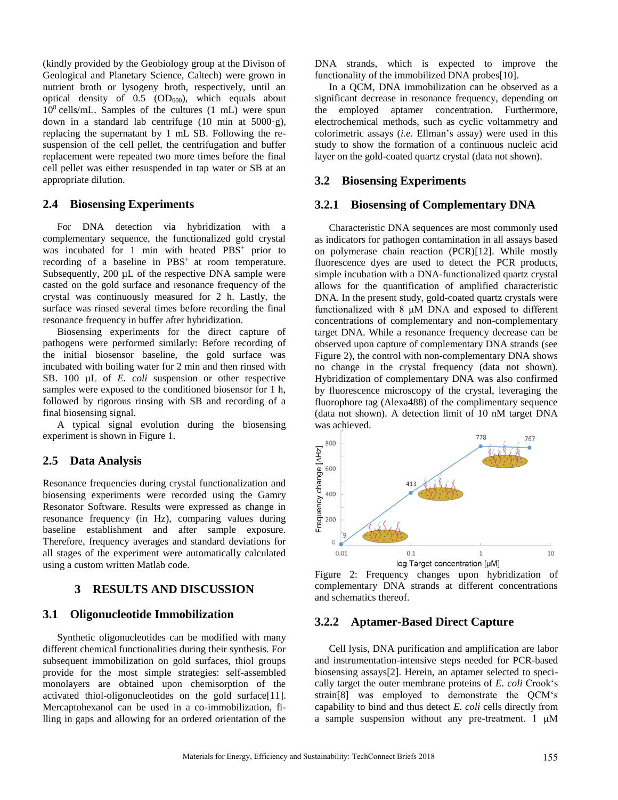(kindly provided by the Geobiology group at the Divison of Geological and Planetary Science, Caltech) were grown in nutrient broth or lysogeny broth, respectively, until an optical density of  $0.5$  (OD $_{600}$ ), which equals about 10<sup>8</sup> cells/mL. Samples of the cultures (1 mL) were spun down in a standard lab centrifuge (10 min at 5000·g), replacing the supernatant by 1 mL SB. Following the resuspension of the cell pellet, the centrifugation and buffer replacement were repeated two more times before the final cell pellet was either resuspended in tap water or SB at an appropriate dilution.

#### **2.4 Biosensing Experiments**

For DNA detection via hybridization with a complementary sequence, the functionalized gold crystal was incubated for 1 min with heated PBS<sup>+</sup> prior to recording of a baseline in PBS<sup>+</sup> at room temperature. Subsequently, 200 µL of the respective DNA sample were casted on the gold surface and resonance frequency of the crystal was continuously measured for 2 h. Lastly, the surface was rinsed several times before recording the final resonance frequency in buffer after hybridization.

Biosensing experiments for the direct capture of pathogens were performed similarly: Before recording of the initial biosensor baseline, the gold surface was incubated with boiling water for 2 min and then rinsed with SB. 100 µL of *E. coli* suspension or other respective samples were exposed to the conditioned biosensor for 1 h, followed by rigorous rinsing with SB and recording of a final biosensing signal.

A typical signal evolution during the biosensing experiment is shown in Figure 1.

#### **2.5 Data Analysis**

Resonance frequencies during crystal functionalization and biosensing experiments were recorded using the Gamry Resonator Software. Results were expressed as change in resonance frequency (in Hz), comparing values during baseline establishment and after sample exposure. Therefore, frequency averages and standard deviations for all stages of the experiment were automatically calculated using a custom written Matlab code.

#### **3 RESULTS AND DISCUSSION**

#### **3.1 Oligonucleotide Immobilization**

Synthetic oligonucleotides can be modified with many different chemical functionalities during their synthesis. For subsequent immobilization on gold surfaces, thiol groups provide for the most simple strategies: self-assembled monolayers are obtained upon chemisorption of the activated thiol-oligonucleotides on the gold surface[11]. Mercaptohexanol can be used in a co-immobilization, filling in gaps and allowing for an ordered orientation of the

DNA strands, which is expected to improve the functionality of the immobilized DNA probes[10].

In a QCM, DNA immobilization can be observed as a significant decrease in resonance frequency, depending on the employed aptamer concentration. Furthermore, electrochemical methods, such as cyclic voltammetry and colorimetric assays (*i.e.* Ellman's assay) were used in this study to show the formation of a continuous nucleic acid layer on the gold-coated quartz crystal (data not shown).

#### **3.2 Biosensing Experiments**

#### **3.2.1 Biosensing of Complementary DNA**

Characteristic DNA sequences are most commonly used as indicators for pathogen contamination in all assays based on polymerase chain reaction (PCR)[12]. While mostly fluorescence dyes are used to detect the PCR products, simple incubation with a DNA-functionalized quartz crystal allows for the quantification of amplified characteristic DNA. In the present study, gold-coated quartz crystals were functionalized with 8 μM DNA and exposed to different concentrations of complementary and non-complementary target DNA. While a resonance frequency decrease can be observed upon capture of complementary DNA strands (see Figure 2), the control with non-complementary DNA shows no change in the crystal frequency (data not shown). Hybridization of complementary DNA was also confirmed by fluorescence microscopy of the crystal, leveraging the fluorophore tag (Alexa488) of the complimentary sequence (data not shown). A detection limit of 10 nM target DNA was achieved.



Figure 2: Frequency changes upon hybridization of complementary DNA strands at different concentrations and schematics thereof.

## **3.2.2 Aptamer-Based Direct Capture**

Cell lysis, DNA purification and amplification are labor and instrumentation-intensive steps needed for PCR-based biosensing assays[2]. Herein, an aptamer selected to specically target the outer membrane proteins of *E. coli* Crook's strain[8] was employed to demonstrate the QCM's capability to bind and thus detect *E. coli* cells directly from a sample suspension without any pre-treatment. 1 μM